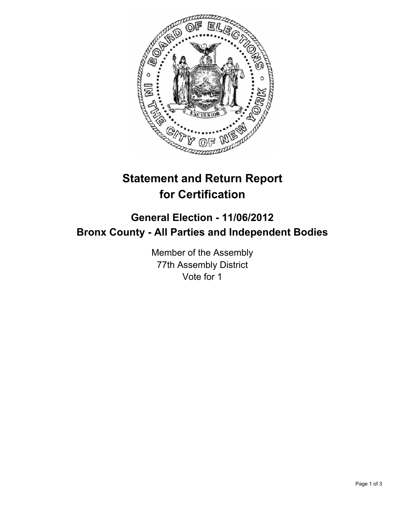

## **Statement and Return Report for Certification**

## **General Election - 11/06/2012 Bronx County - All Parties and Independent Bodies**

Member of the Assembly 77th Assembly District Vote for 1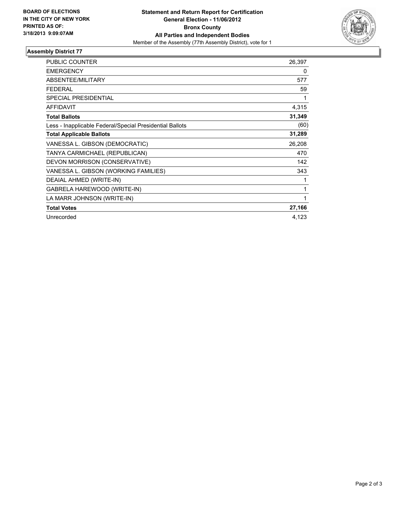

## **Assembly District 77**

| <b>PUBLIC COUNTER</b>                                    | 26,397 |
|----------------------------------------------------------|--------|
| <b>EMERGENCY</b>                                         | 0      |
| <b>ABSENTEE/MILITARY</b>                                 | 577    |
| <b>FEDERAL</b>                                           | 59     |
| SPECIAL PRESIDENTIAL                                     | 1      |
| AFFIDAVIT                                                | 4,315  |
| <b>Total Ballots</b>                                     | 31,349 |
| Less - Inapplicable Federal/Special Presidential Ballots | (60)   |
| <b>Total Applicable Ballots</b>                          | 31,289 |
| VANESSA L. GIBSON (DEMOCRATIC)                           | 26,208 |
| TANYA CARMICHAEL (REPUBLICAN)                            | 470    |
| DEVON MORRISON (CONSERVATIVE)                            | 142    |
| VANESSA L. GIBSON (WORKING FAMILIES)                     | 343    |
| DEAIAL AHMED (WRITE-IN)                                  | 1      |
| GABRELA HAREWOOD (WRITE-IN)                              | 1      |
| LA MARR JOHNSON (WRITE-IN)                               | 1      |
| <b>Total Votes</b>                                       | 27,166 |
| Unrecorded                                               | 4,123  |